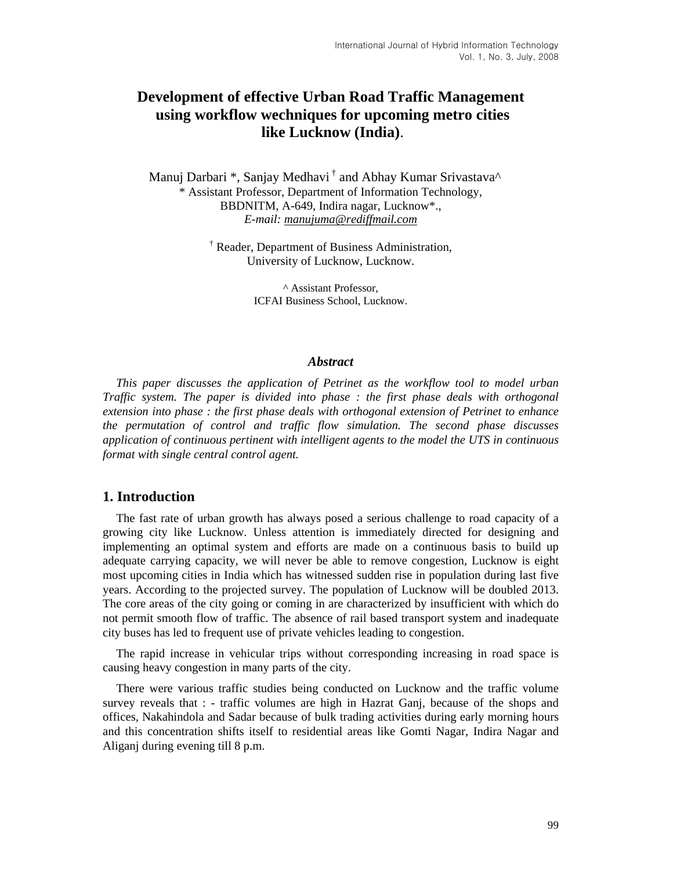# **Development of effective Urban Road Traffic Management using workflow wechniques for upcoming metro cities like Lucknow (India)**.

Manui Darbari \*, Sanjay Medhavi<sup>†</sup> and Abhay Kumar Srivastava<sup>^</sup> \* Assistant Professor, Department of Information Technology, BBDNITM, A-649, Indira nagar, Lucknow\*., *E-mail: manujuma@rediffmail.com*

> † Reader, Department of Business Administration, University of Lucknow, Lucknow.

> > ^ Assistant Professor, ICFAI Business School, Lucknow.

#### *Abstract*

*This paper discusses the application of Petrinet as the workflow tool to model urban Traffic system. The paper is divided into phase : the first phase deals with orthogonal extension into phase : the first phase deals with orthogonal extension of Petrinet to enhance the permutation of control and traffic flow simulation. The second phase discusses application of continuous pertinent with intelligent agents to the model the UTS in continuous format with single central control agent.* 

## **1. Introduction**

The fast rate of urban growth has always posed a serious challenge to road capacity of a growing city like Lucknow. Unless attention is immediately directed for designing and implementing an optimal system and efforts are made on a continuous basis to build up adequate carrying capacity, we will never be able to remove congestion, Lucknow is eight most upcoming cities in India which has witnessed sudden rise in population during last five years. According to the projected survey. The population of Lucknow will be doubled 2013. The core areas of the city going or coming in are characterized by insufficient with which do not permit smooth flow of traffic. The absence of rail based transport system and inadequate city buses has led to frequent use of private vehicles leading to congestion.

The rapid increase in vehicular trips without corresponding increasing in road space is causing heavy congestion in many parts of the city.

There were various traffic studies being conducted on Lucknow and the traffic volume survey reveals that : - traffic volumes are high in Hazrat Ganj, because of the shops and offices, Nakahindola and Sadar because of bulk trading activities during early morning hours and this concentration shifts itself to residential areas like Gomti Nagar, Indira Nagar and Aliganj during evening till 8 p.m.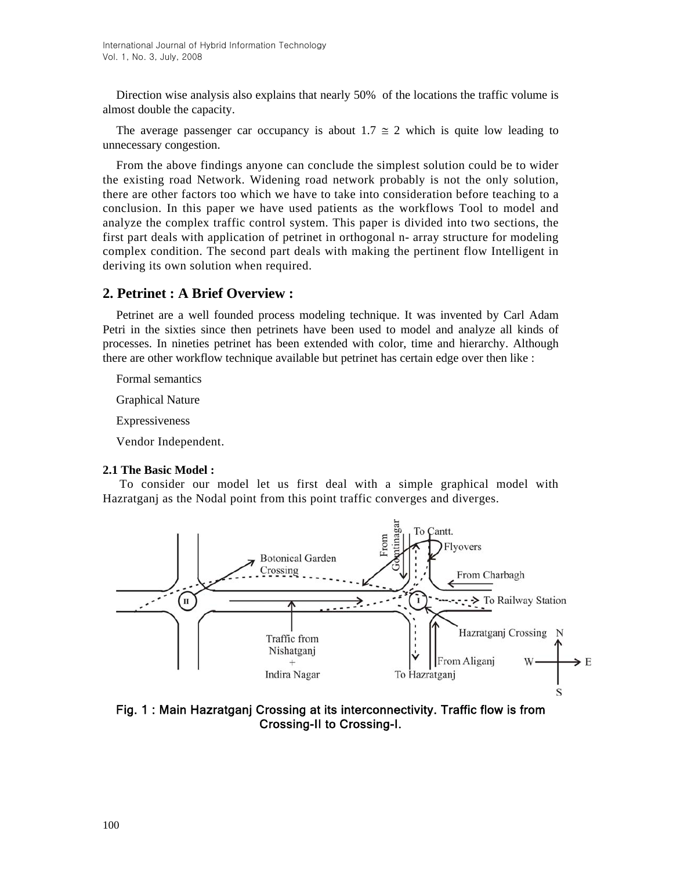Direction wise analysis also explains that nearly 50% of the locations the traffic volume is almost double the capacity.

The average passenger car occupancy is about 1.7  $\approx$  2 which is quite low leading to unnecessary congestion.

From the above findings anyone can conclude the simplest solution could be to wider the existing road Network. Widening road network probably is not the only solution, there are other factors too which we have to take into consideration before teaching to a conclusion. In this paper we have used patients as the workflows Tool to model and analyze the complex traffic control system. This paper is divided into two sections, the first part deals with application of petrinet in orthogonal n- array structure for modeling complex condition. The second part deals with making the pertinent flow Intelligent in deriving its own solution when required.

# **2. Petrinet : A Brief Overview :**

Petrinet are a well founded process modeling technique. It was invented by Carl Adam Petri in the sixties since then petrinets have been used to model and analyze all kinds of processes. In nineties petrinet has been extended with color, time and hierarchy. Although there are other workflow technique available but petrinet has certain edge over then like :

Formal semantics

Graphical Nature

Expressiveness

Vendor Independent.

#### **2.1 The Basic Model :**

 To consider our model let us first deal with a simple graphical model with Hazratganj as the Nodal point from this point traffic converges and diverges.



Fig. 1 : Main Hazratganj Crossing at its interconnectivity. Traffic flow is from Crossing-II to Crossing-I.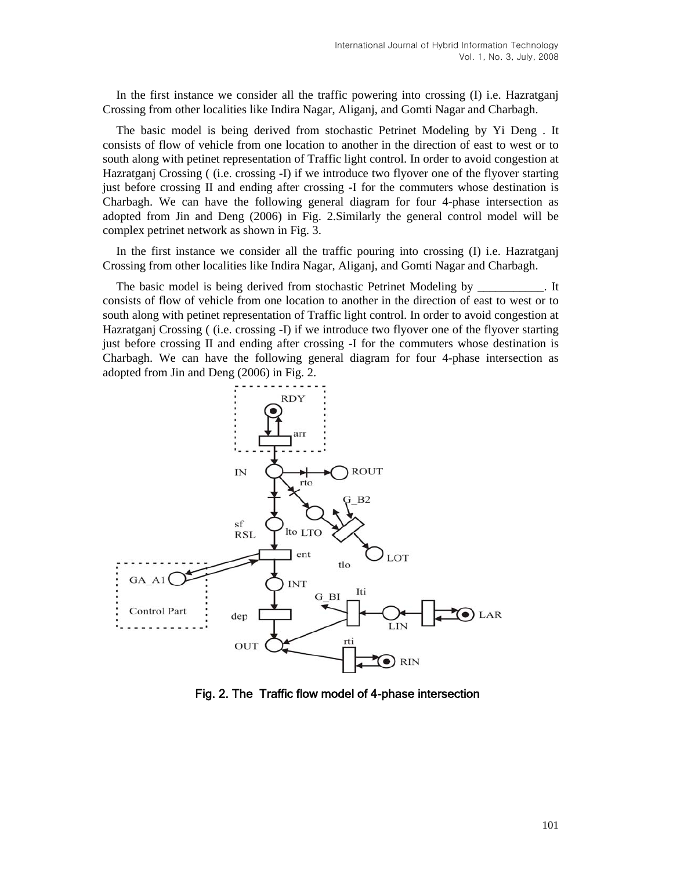In the first instance we consider all the traffic powering into crossing (I) i.e. Hazratganj Crossing from other localities like Indira Nagar, Aliganj, and Gomti Nagar and Charbagh.

The basic model is being derived from stochastic Petrinet Modeling by Yi Deng . It consists of flow of vehicle from one location to another in the direction of east to west or to south along with petinet representation of Traffic light control. In order to avoid congestion at Hazratganj Crossing ( (i.e. crossing -I) if we introduce two flyover one of the flyover starting just before crossing II and ending after crossing -I for the commuters whose destination is Charbagh. We can have the following general diagram for four 4-phase intersection as adopted from Jin and Deng (2006) in Fig. 2.Similarly the general control model will be complex petrinet network as shown in Fig. 3.

In the first instance we consider all the traffic pouring into crossing (I) i.e. Hazratganj Crossing from other localities like Indira Nagar, Aliganj, and Gomti Nagar and Charbagh.

The basic model is being derived from stochastic Petrinet Modeling by The basic model is being derived from stochastic Petrinet Modeling by consists of flow of vehicle from one location to another in the direction of east to west or to south along with petinet representation of Traffic light control. In order to avoid congestion at Hazratganj Crossing ( (i.e. crossing -I) if we introduce two flyover one of the flyover starting just before crossing II and ending after crossing -I for the commuters whose destination is Charbagh. We can have the following general diagram for four 4-phase intersection as adopted from Jin and Deng (2006) in Fig. 2.



Fig. 2. The Traffic flow model of 4-phase intersection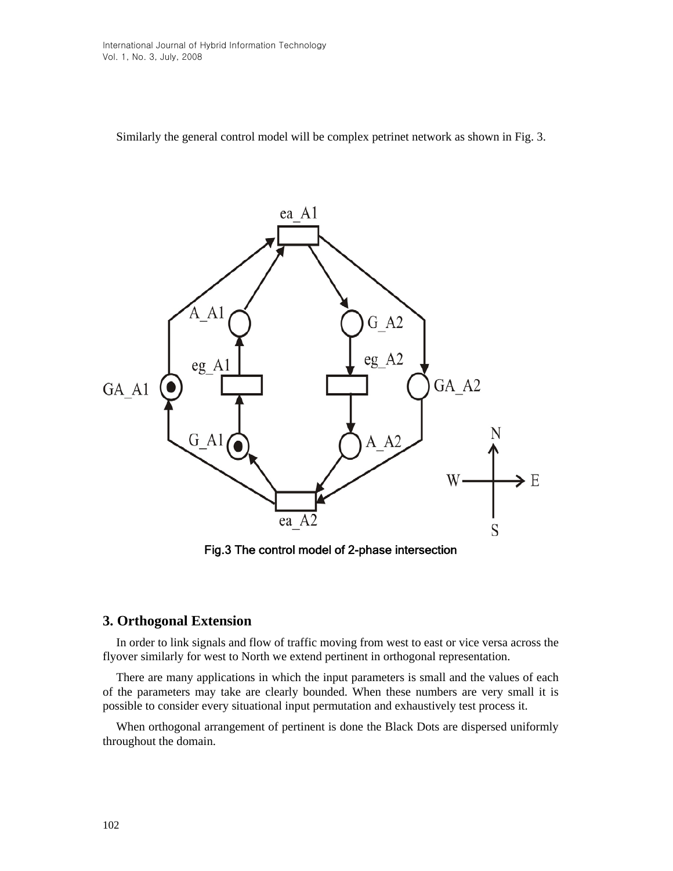Similarly the general control model will be complex petrinet network as shown in Fig. 3.



Fig.3 The control model of 2-phase intersection

# **3. Orthogonal Extension**

In order to link signals and flow of traffic moving from west to east or vice versa across the flyover similarly for west to North we extend pertinent in orthogonal representation.

There are many applications in which the input parameters is small and the values of each of the parameters may take are clearly bounded. When these numbers are very small it is possible to consider every situational input permutation and exhaustively test process it.

When orthogonal arrangement of pertinent is done the Black Dots are dispersed uniformly throughout the domain.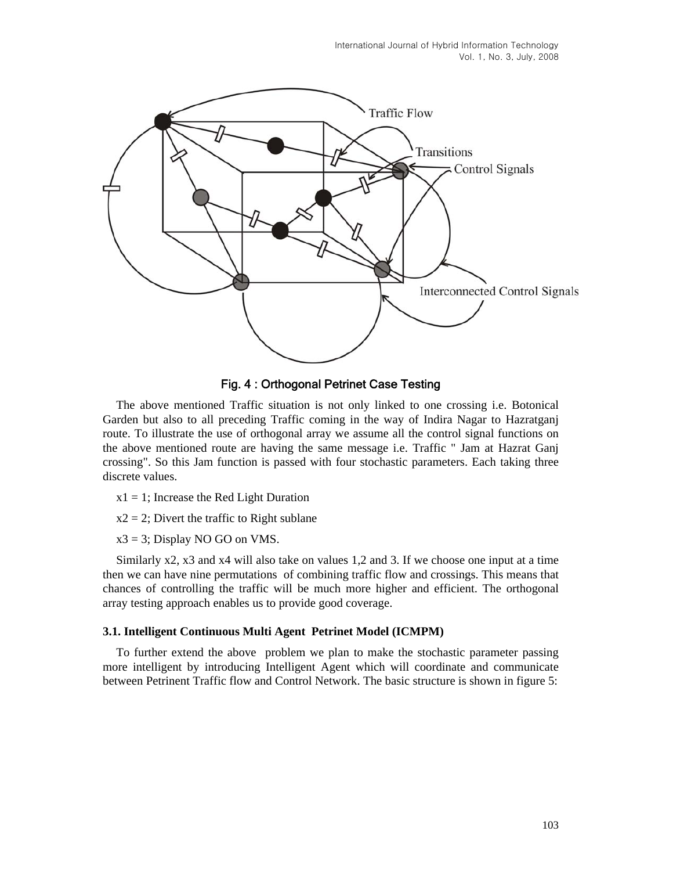International Journal of Hybrid Information Technology Vol. 1, No. 3, July, 2008



Fig. 4 : Orthogonal Petrinet Case Testing

The above mentioned Traffic situation is not only linked to one crossing i.e. Botonical Garden but also to all preceding Traffic coming in the way of Indira Nagar to Hazratganj route. To illustrate the use of orthogonal array we assume all the control signal functions on the above mentioned route are having the same message i.e. Traffic " Jam at Hazrat Ganj crossing". So this Jam function is passed with four stochastic parameters. Each taking three discrete values.

- $x1 = 1$ ; Increase the Red Light Duration
- $x2 = 2$ ; Divert the traffic to Right sublane

 $x3 = 3$ ; Display NO GO on VMS.

Similarly x2, x3 and x4 will also take on values 1,2 and 3. If we choose one input at a time then we can have nine permutations of combining traffic flow and crossings. This means that chances of controlling the traffic will be much more higher and efficient. The orthogonal array testing approach enables us to provide good coverage.

#### **3.1. Intelligent Continuous Multi Agent Petrinet Model (ICMPM)**

To further extend the above problem we plan to make the stochastic parameter passing more intelligent by introducing Intelligent Agent which will coordinate and communicate between Petrinent Traffic flow and Control Network. The basic structure is shown in figure 5: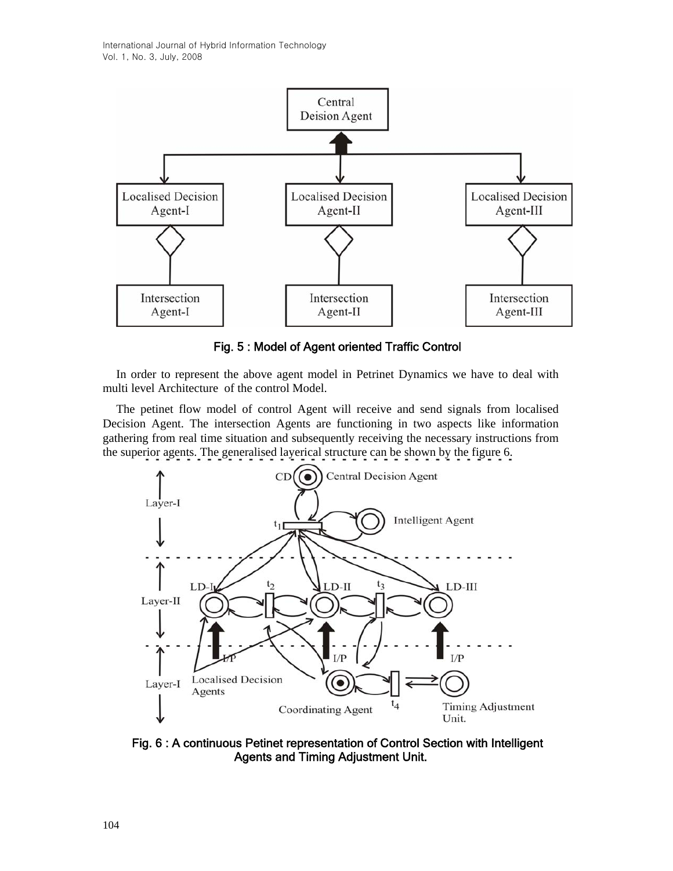

Fig. 5 : Model of Agent oriented Traffic Control

In order to represent the above agent model in Petrinet Dynamics we have to deal with multi level Architecture of the control Model.

The petinet flow model of control Agent will receive and send signals from localised Decision Agent. The intersection Agents are functioning in two aspects like information gathering from real time situation and subsequently receiving the necessary instructions from the superior agents. The generalised layerical structure can be shown by the figure 6.



Fig. 6 : A continuous Petinet representation of Control Section with Intelligent Agents and Timing Adjustment Unit.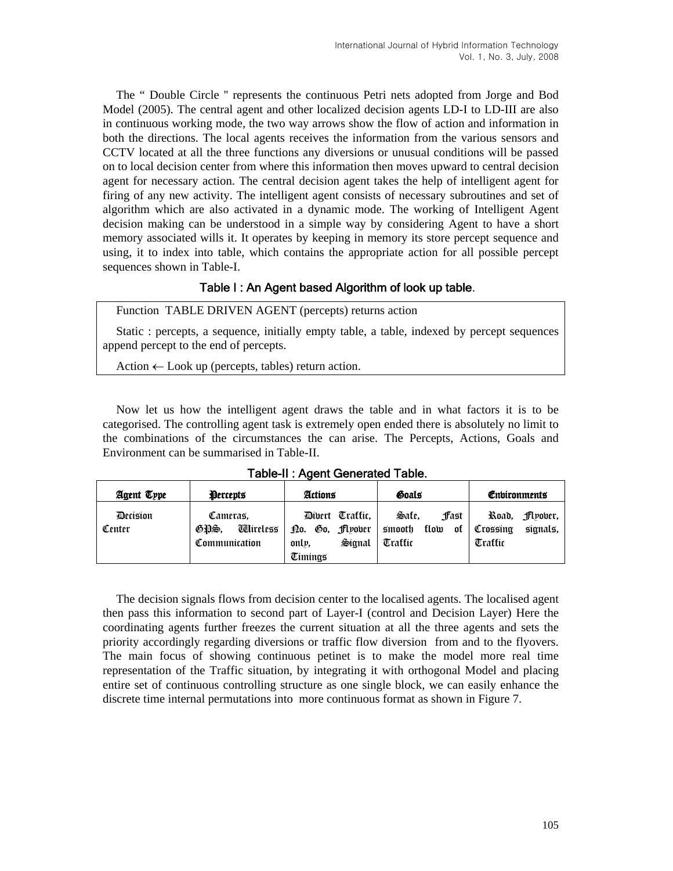The " Double Circle '' represents the continuous Petri nets adopted from Jorge and Bod Model (2005). The central agent and other localized decision agents LD-I to LD-III are also in continuous working mode, the two way arrows show the flow of action and information in both the directions. The local agents receives the information from the various sensors and CCTV located at all the three functions any diversions or unusual conditions will be passed on to local decision center from where this information then moves upward to central decision agent for necessary action. The central decision agent takes the help of intelligent agent for firing of any new activity. The intelligent agent consists of necessary subroutines and set of algorithm which are also activated in a dynamic mode. The working of Intelligent Agent decision making can be understood in a simple way by considering Agent to have a short memory associated wills it. It operates by keeping in memory its store percept sequence and using, it to index into table, which contains the appropriate action for all possible percept sequences shown in Table-I.

## Table I : An Agent based Algorithm of look up table.

Function TABLE DRIVEN AGENT (percepts) returns action

Static : percepts, a sequence, initially empty table, a table, indexed by percept sequences append percept to the end of percepts.

Action  $\leftarrow$  Look up (percepts, tables) return action.

Now let us how the intelligent agent draws the table and in what factors it is to be categorised. The controlling agent task is extremely open ended there is absolutely no limit to the combinations of the circumstances the can arise. The Percepts, Actions, Goals and Environment can be summarised in Table-II.

| Agent Type         | <b>Percepts</b>                                        | Actions                                                          | Goals                                             | Environments                                          |
|--------------------|--------------------------------------------------------|------------------------------------------------------------------|---------------------------------------------------|-------------------------------------------------------|
| Decision<br>Center | Cameras.<br><b>Ti</b> ireless<br>GDS.<br>Communication | Divert Trattic.<br>Do. Go, Flyover<br>Signal<br>only.<br>Timings | Sate.<br>ffast<br>smooth<br>tlow<br>ot<br>Trattic | Koad.<br>Jflyover,<br>signals,<br>Crossina<br>Trattic |

Table-II : Agent Generated Table.

The decision signals flows from decision center to the localised agents. The localised agent then pass this information to second part of Layer-I (control and Decision Layer) Here the coordinating agents further freezes the current situation at all the three agents and sets the priority accordingly regarding diversions or traffic flow diversion from and to the flyovers. The main focus of showing continuous petinet is to make the model more real time representation of the Traffic situation, by integrating it with orthogonal Model and placing entire set of continuous controlling structure as one single block, we can easily enhance the discrete time internal permutations into more continuous format as shown in Figure 7.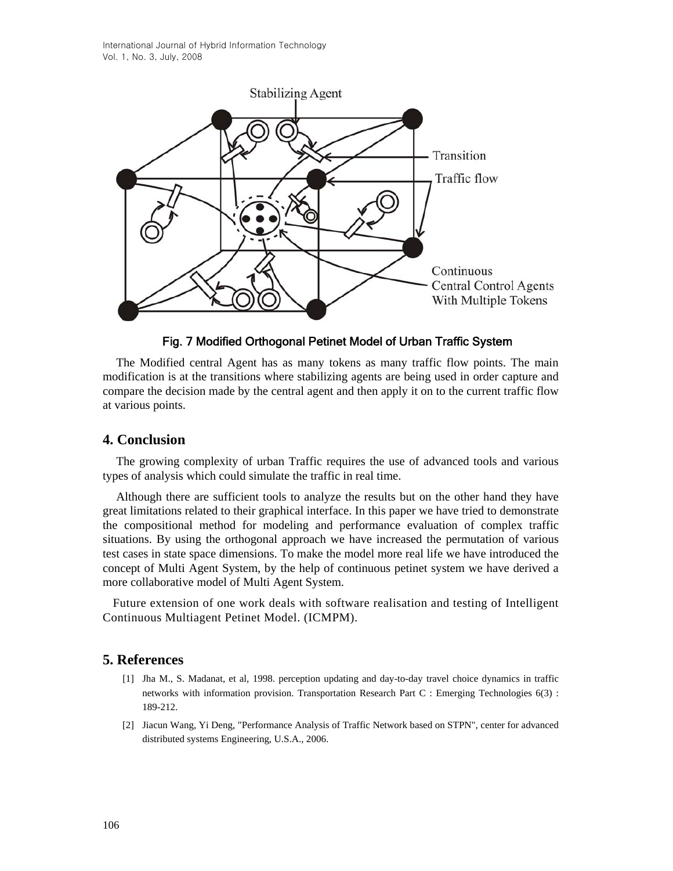International Journal of Hybrid Information Technology Vol. 1, No. 3, July, 2008



Fig. 7 Modified Orthogonal Petinet Model of Urban Traffic System

The Modified central Agent has as many tokens as many traffic flow points. The main modification is at the transitions where stabilizing agents are being used in order capture and compare the decision made by the central agent and then apply it on to the current traffic flow at various points.

# **4. Conclusion**

The growing complexity of urban Traffic requires the use of advanced tools and various types of analysis which could simulate the traffic in real time.

Although there are sufficient tools to analyze the results but on the other hand they have great limitations related to their graphical interface. In this paper we have tried to demonstrate the compositional method for modeling and performance evaluation of complex traffic situations. By using the orthogonal approach we have increased the permutation of various test cases in state space dimensions. To make the model more real life we have introduced the concept of Multi Agent System, by the help of continuous petinet system we have derived a more collaborative model of Multi Agent System.

 Future extension of one work deals with software realisation and testing of Intelligent Continuous Multiagent Petinet Model. (ICMPM).

## **5. References**

- [1] Jha M., S. Madanat, et al, 1998. perception updating and day-to-day travel choice dynamics in traffic networks with information provision. Transportation Research Part C : Emerging Technologies 6(3) : 189-212.
- [2] Jiacun Wang, Yi Deng, "Performance Analysis of Traffic Network based on STPN", center for advanced distributed systems Engineering, U.S.A., 2006.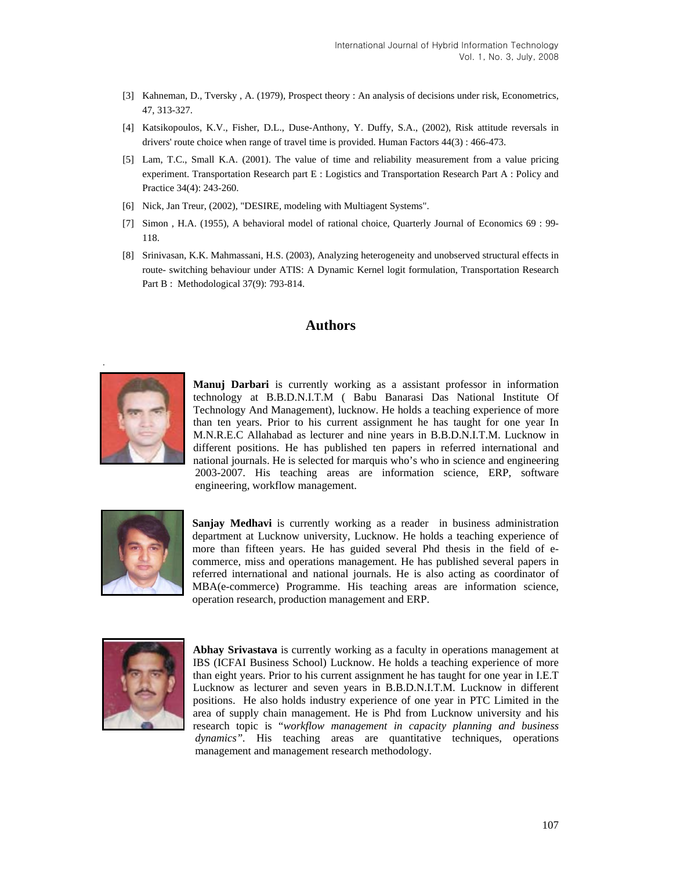- [3] Kahneman, D., Tversky , A. (1979), Prospect theory : An analysis of decisions under risk, Econometrics, 47, 313-327.
- [4] Katsikopoulos, K.V., Fisher, D.L., Duse-Anthony, Y. Duffy, S.A., (2002), Risk attitude reversals in drivers' route choice when range of travel time is provided. Human Factors 44(3) : 466-473.
- [5] Lam, T.C., Small K.A. (2001). The value of time and reliability measurement from a value pricing experiment. Transportation Research part E : Logistics and Transportation Research Part A : Policy and Practice 34(4): 243-260.
- [6] Nick, Jan Treur, (2002), "DESIRE, modeling with Multiagent Systems".
- [7] Simon , H.A. (1955), A behavioral model of rational choice, Quarterly Journal of Economics 69 : 99- 118.
- [8] Srinivasan, K.K. Mahmassani, H.S. (2003), Analyzing heterogeneity and unobserved structural effects in route- switching behaviour under ATIS: A Dynamic Kernel logit formulation, Transportation Research Part B : Methodological 37(9): 793-814.

### **Authors**



**Manuj Darbari** is currently working as a assistant professor in information technology at B.B.D.N.I.T.M ( Babu Banarasi Das National Institute Of Technology And Management), lucknow. He holds a teaching experience of more than ten years. Prior to his current assignment he has taught for one year In M.N.R.E.C Allahabad as lecturer and nine years in B.B.D.N.I.T.M. Lucknow in different positions. He has published ten papers in referred international and national journals. He is selected for marquis who's who in science and engineering 2003-2007. His teaching areas are information science, ERP, software engineering, workflow management.



**Sanjay Medhavi** is currently working as a reader in business administration department at Lucknow university, Lucknow. He holds a teaching experience of more than fifteen years. He has guided several Phd thesis in the field of ecommerce, miss and operations management. He has published several papers in referred international and national journals. He is also acting as coordinator of MBA(e-commerce) Programme. His teaching areas are information science, operation research, production management and ERP.



**Abhay Srivastava** is currently working as a faculty in operations management at IBS (ICFAI Business School) Lucknow. He holds a teaching experience of more than eight years. Prior to his current assignment he has taught for one year in I.E.T Lucknow as lecturer and seven years in B.B.D.N.I.T.M. Lucknow in different positions. He also holds industry experience of one year in PTC Limited in the area of supply chain management. He is Phd from Lucknow university and his research topic is "*workflow management in capacity planning and business dynamics".* His teaching areas are quantitative techniques, operations management and management research methodology.